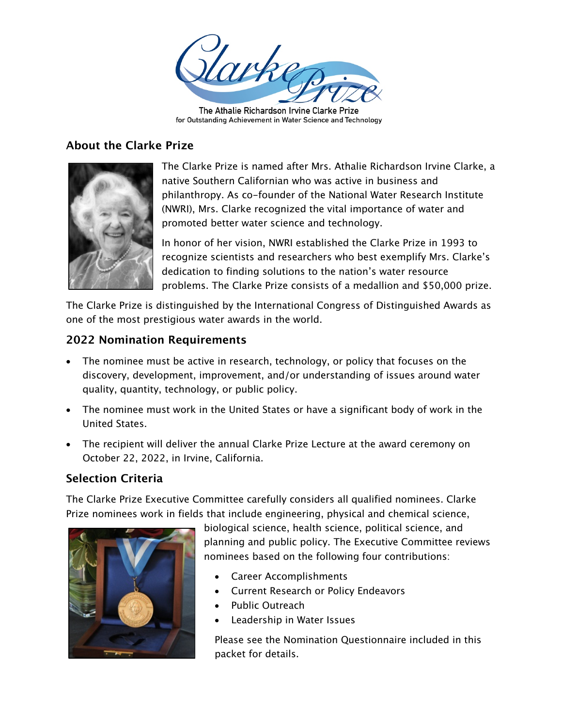

The Athalie Richardson Irvine Clarke Prize for Outstanding Achievement in Water Science and Technology

## **About the Clarke Prize**



The Clarke Prize is named after Mrs. Athalie Richardson Irvine Clarke, a native Southern Californian who was active in business and philanthropy. As co-founder of the National Water Research Institute (NWRI), Mrs. Clarke recognized the vital importance of water and promoted better water science and technology.

In honor of her vision, NWRI established the Clarke Prize in 1993 to recognize scientists and researchers who best exemplify Mrs. Clarke's dedication to finding solutions to the nation's water resource problems. The Clarke Prize consists of a medallion and \$50,000 prize.

The Clarke Prize is distinguished by the International Congress of Distinguished Awards as one of the most prestigious water awards in the world.

## **2022 Nomination Requirements**

- The nominee must be active in research, technology, or policy that focuses on the discovery, development, improvement, and/or understanding of issues around water quality, quantity, technology, or public policy.
- The nominee must work in the United States or have a significant body of work in the United States.
- The recipient will deliver the annual Clarke Prize Lecture at the award ceremony on October 22, 2022, in Irvine, California.

## **Selection Criteria**

The Clarke Prize Executive Committee carefully considers all qualified nominees. Clarke Prize nominees work in fields that include engineering, physical and chemical science,



biological science, health science, political science, and planning and public policy. The Executive Committee reviews nominees based on the following four contributions:

- Career Accomplishments
- Current Research or Policy Endeavors
- Public Outreach
- Leadership in Water Issues

Please see the Nomination Questionnaire included in this packet for details.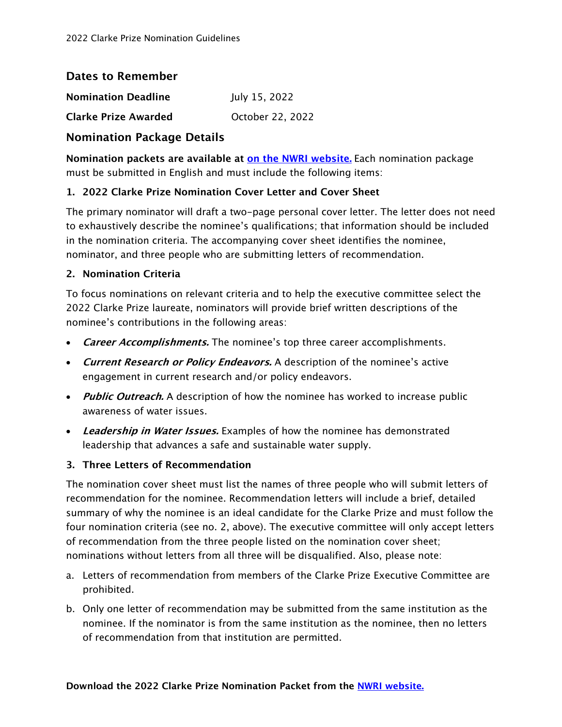### **Dates to Remember**

| <b>Nomination Deadline</b> | July 15, 2022                             |  |
|----------------------------|-------------------------------------------|--|
|                            | $\sim$ $\sim$ $\sim$ $\sim$ $\sim$ $\sim$ |  |

**Clarke Prize Awarded Clarke Prize Awarded Clarke Prize Awarded** 

## **Nomination Package Details**

**Nomination packets are available at [on the NWRI website.](https://www.nwri-usa.org/2022clarkeprizenomination)** Each nomination package must be submitted in English and must include the following items:

### **1. 2022 Clarke Prize Nomination Cover Letter and Cover Sheet**

The primary nominator will draft a two-page personal cover letter. The letter does not need to exhaustively describe the nominee's qualifications; that information should be included in the nomination criteria. The accompanying cover sheet identifies the nominee, nominator, and three people who are submitting letters of recommendation.

#### **2. Nomination Criteria**

To focus nominations on relevant criteria and to help the executive committee select the 2022 Clarke Prize laureate, nominators will provide brief written descriptions of the nominee's contributions in the following areas:

- **Career Accomplishments.** The nominee's top three career accomplishments.
- **Current Research or Policy Endeavors.** A description of the nominee's active engagement in current research and/or policy endeavors.
- **Public Outreach.** A description of how the nominee has worked to increase public awareness of water issues.
- **Leadership in Water Issues.** Examples of how the nominee has demonstrated leadership that advances a safe and sustainable water supply.

#### **3. Three Letters of Recommendation**

The nomination cover sheet must list the names of three people who will submit letters of recommendation for the nominee. Recommendation letters will include a brief, detailed summary of why the nominee is an ideal candidate for the Clarke Prize and must follow the four nomination criteria (see no. 2, above). The executive committee will only accept letters of recommendation from the three people listed on the nomination cover sheet; nominations without letters from all three will be disqualified. Also, please note:

- a. Letters of recommendation from members of the Clarke Prize Executive Committee are prohibited.
- b. Only one letter of recommendation may be submitted from the same institution as the nominee. If the nominator is from the same institution as the nominee, then no letters of recommendation from that institution are permitted.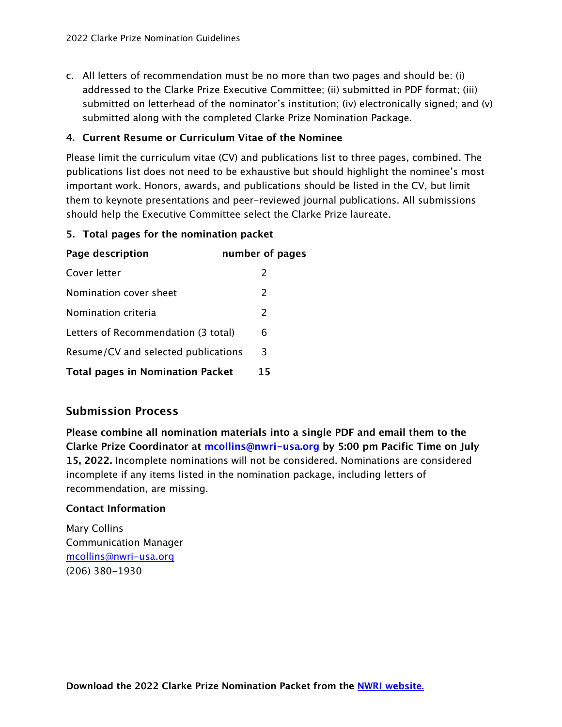c. All letters of recommendation must be no more than two pages and should be: (i) addressed to the Clarke Prize Executive Committee; (ii) submitted in PDF format; (iii) submitted on letterhead of the nominator's institution; (iv) electronically signed; and (v) submitted along with the completed Clarke Prize Nomination Package.

#### **4. Current Resume or Curriculum Vitae of the Nominee**

Please limit the curriculum vitae (CV) and publications list to three pages, combined. The publications list does not need to be exhaustive but should highlight the nominee's most important work. Honors, awards, and publications should be listed in the CV, but limit them to keynote presentations and peer-reviewed journal publications. All submissions should help the Executive Committee select the Clarke Prize laureate.

#### **5. Total pages for the nomination packet**

| Page description                        | number of pages |
|-----------------------------------------|-----------------|
| Cover letter                            | $\mathcal{P}$   |
| Nomination cover sheet                  | $\mathcal{P}$   |
| Nomination criteria                     | $\mathcal{P}$   |
| Letters of Recommendation (3 total)     | 6               |
| Resume/CV and selected publications     | 3               |
| <b>Total pages in Nomination Packet</b> | 15              |

## **Submission Process**

**Please combine all nomination materials into a single PDF and email them to the Clarke Prize Coordinator at mcollins@nwri-usa.org by 5:00 pm Pacific Time on July 15, 2022.** Incomplete nominations will not be considered. Nominations are considered incomplete if any items listed in the nomination package, including letters of recommendation, are missing.

#### **Contact Information**

Mary Collins Communication Manager mcollins@nwri-usa.org (206) 380-1930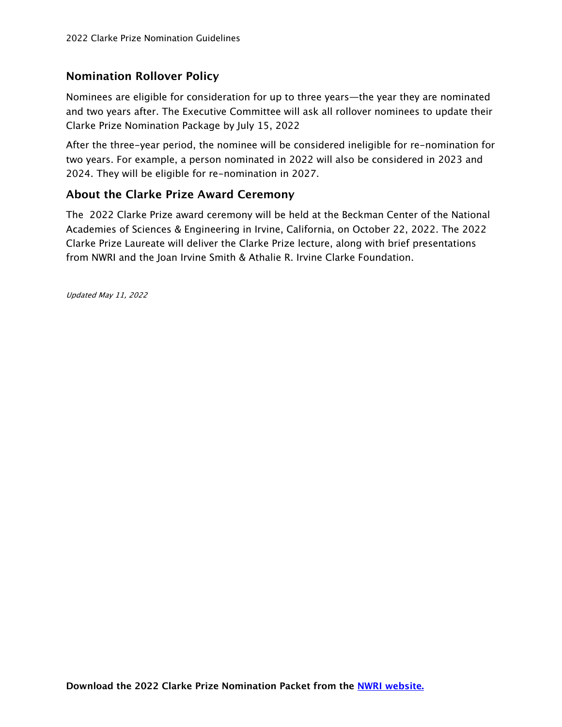# **Nomination Rollover Policy**

Nominees are eligible for consideration for up to three years—the year they are nominated and two years after. The Executive Committee will ask all rollover nominees to update their Clarke Prize Nomination Package by July 15, 2022

After the three-year period, the nominee will be considered ineligible for re-nomination for two years. For example, a person nominated in 2022 will also be considered in 2023 and 2024. They will be eligible for re-nomination in 2027.

## **About the Clarke Prize Award Ceremony**

The 2022 Clarke Prize award ceremony will be held at the Beckman Center of the National Academies of Sciences & Engineering in Irvine, California, on October 22, 2022. The 2022 Clarke Prize Laureate will deliver the Clarke Prize lecture, along with brief presentations from NWRI and the Joan Irvine Smith & Athalie R. Irvine Clarke Foundation.

Updated May 11, 2022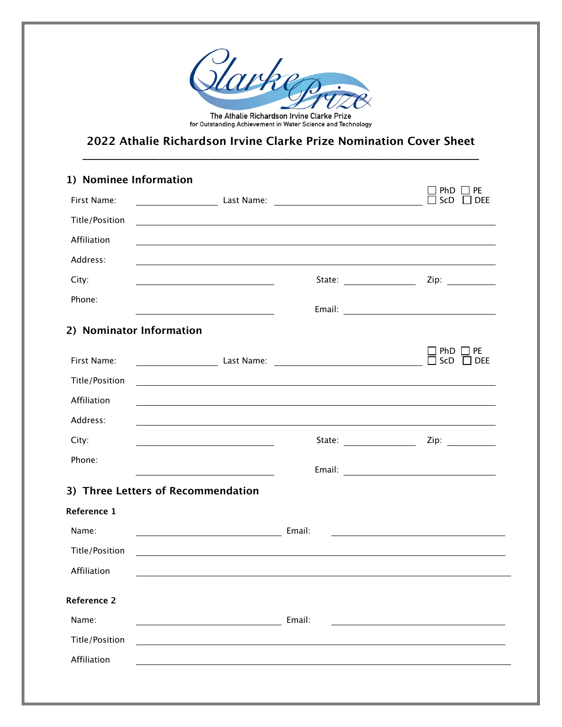

The Athalie Richardson Irvine Clarke Prize<br>for Outstanding Achievement in Water Science and Technology

### **2022 Athalie Richardson Irvine Clarke Prize Nomination Cover Sheet \_\_\_\_\_\_\_\_\_\_\_\_\_\_\_\_\_\_\_\_\_\_\_\_\_\_\_\_\_\_\_\_\_\_\_\_\_\_\_\_\_\_\_\_\_\_\_\_\_\_\_\_\_\_\_\_\_\_\_\_\_\_\_\_\_\_\_\_\_\_\_\_**

| 1) Nominee Information             |                                                                                                                                                                                                                                        |                                                                                                      |                                                                                                                       |  |  |
|------------------------------------|----------------------------------------------------------------------------------------------------------------------------------------------------------------------------------------------------------------------------------------|------------------------------------------------------------------------------------------------------|-----------------------------------------------------------------------------------------------------------------------|--|--|
| First Name:                        | <u>Last Name:</u> 2008. 2008. 2009. 2010. 2010. 2011. 2012. 2014. 2014. 2014. 2014. 2014. 2014. 2014. 2014. 2014. 2014. 2014. 2014. 2014. 2014. 2014. 2014. 2014. 2014. 2014. 2014. 2014. 2014. 2014. 2014. 2014. 2014. 2014. 2014.    |                                                                                                      | PE<br>PhD<br>ScD<br><b>DEE</b>                                                                                        |  |  |
| <b>Title/Position</b>              | <u> 1980 - Johann Barnett, fransk politik (f. 1980)</u>                                                                                                                                                                                |                                                                                                      |                                                                                                                       |  |  |
| Affiliation                        | ,我们也不会有什么。""我们的人,我们也不会有什么?""我们的人,我们也不会有什么?""我们的人,我们也不会有什么?""我们的人,我们也不会有什么?""我们的人                                                                                                                                                       |                                                                                                      |                                                                                                                       |  |  |
| Address:                           |                                                                                                                                                                                                                                        |                                                                                                      |                                                                                                                       |  |  |
| City:                              |                                                                                                                                                                                                                                        | State: ____________________                                                                          |                                                                                                                       |  |  |
| Phone:                             |                                                                                                                                                                                                                                        |                                                                                                      |                                                                                                                       |  |  |
|                                    |                                                                                                                                                                                                                                        |                                                                                                      |                                                                                                                       |  |  |
|                                    | 2) Nominator Information                                                                                                                                                                                                               |                                                                                                      |                                                                                                                       |  |  |
| First Name:                        | <b>Maria Last Name:</b> 2008. Mannel 2008. All 2014 12: 2016. Mannel 2014. All 2016. Manne 2016. All 2016. Manne 2016. M<br>2016. Maria Land 2016. Manne 2016. Manne 2016. Manne 2016. Manne 2016. Manne 2016. Manne 2016. Manne 2016. |                                                                                                      | <b>PE</b><br>PhD.<br>ScD<br><b>DEE</b>                                                                                |  |  |
| <b>Title/Position</b>              | and the control of the control of the control of the control of the control of the control of the control of the                                                                                                                       |                                                                                                      |                                                                                                                       |  |  |
| Affiliation                        |                                                                                                                                                                                                                                        |                                                                                                      |                                                                                                                       |  |  |
| Address:                           | ,我们也不会有什么。""我们的人,我们也不会有什么?""我们的人,我们也不会有什么?""我们的人,我们也不会有什么?""我们的人,我们也不会有什么?""我们的人                                                                                                                                                       |                                                                                                      |                                                                                                                       |  |  |
| City:                              |                                                                                                                                                                                                                                        | State: $\frac{1}{\sqrt{1-\frac{1}{2}}\sqrt{1-\frac{1}{2}}\sqrt{1-\frac{1}{2}}\sqrt{1-\frac{1}{2}}}}$ | Zip: $\qquad \qquad$                                                                                                  |  |  |
| Phone:                             |                                                                                                                                                                                                                                        |                                                                                                      |                                                                                                                       |  |  |
|                                    |                                                                                                                                                                                                                                        |                                                                                                      |                                                                                                                       |  |  |
| 3) Three Letters of Recommendation |                                                                                                                                                                                                                                        |                                                                                                      |                                                                                                                       |  |  |
| Reference 1                        |                                                                                                                                                                                                                                        |                                                                                                      |                                                                                                                       |  |  |
| Name:                              | <b>Email:</b> Email:                                                                                                                                                                                                                   |                                                                                                      | <u> 1980 - Johann Barn, mars ann an t-Amhain Aonaichte ann an t-Aonaichte ann an t-Aonaichte ann an t-Aonaichte a</u> |  |  |
| Title/Position                     |                                                                                                                                                                                                                                        |                                                                                                      |                                                                                                                       |  |  |
| Affiliation                        |                                                                                                                                                                                                                                        |                                                                                                      |                                                                                                                       |  |  |
| <b>Reference 2</b>                 |                                                                                                                                                                                                                                        |                                                                                                      |                                                                                                                       |  |  |
| Name:                              |                                                                                                                                                                                                                                        | Email:                                                                                               |                                                                                                                       |  |  |
| <b>Title/Position</b>              |                                                                                                                                                                                                                                        |                                                                                                      |                                                                                                                       |  |  |
| Affiliation                        |                                                                                                                                                                                                                                        |                                                                                                      |                                                                                                                       |  |  |
|                                    |                                                                                                                                                                                                                                        |                                                                                                      |                                                                                                                       |  |  |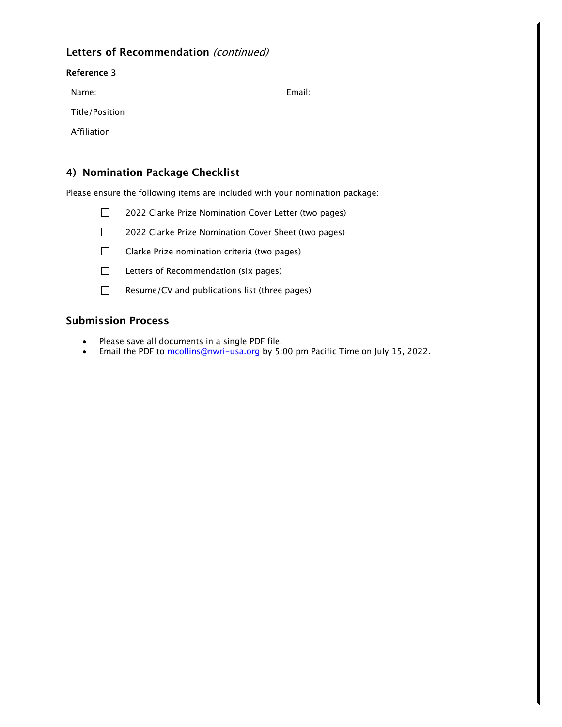| Letters of Recommendation (continued) |        |  |  |  |
|---------------------------------------|--------|--|--|--|
| Reference 3                           |        |  |  |  |
| Name:                                 | Email: |  |  |  |
| Title/Position                        |        |  |  |  |
| Affiliation                           |        |  |  |  |
|                                       |        |  |  |  |

#### **4) Nomination Package Checklist**

Please ensure the following items are included with your nomination package:

 $\Box$ 2022 Clarke Prize Nomination Cover Letter (two pages)

 $\Box$ 2022 Clarke Prize Nomination Cover Sheet (two pages)

 $\Box$ Clarke Prize nomination criteria (two pages)

- $\Box$ Letters of Recommendation (six pages)
- $\Box$ Resume/CV and publications list (three pages)

#### **Submission Process**

- Please save all documents in a single PDF file.
- Email the PDF to mcollins@nwri-usa.org by 5:00 pm Pacific Time on July 15, 2022.